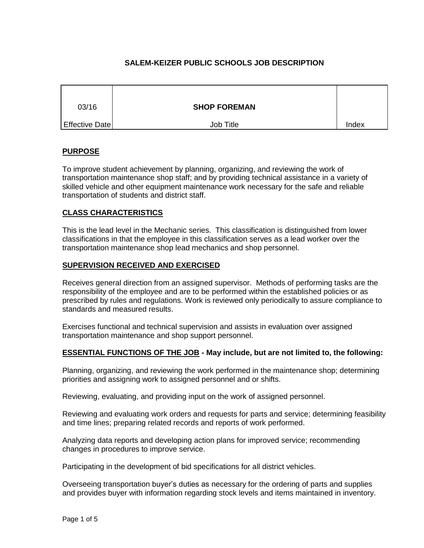# **SALEM-KEIZER PUBLIC SCHOOLS JOB DESCRIPTION**

| 03/16          | <b>SHOP FOREMAN</b> |       |
|----------------|---------------------|-------|
| Effective Date | Job Title           | Index |

## **PURPOSE**

To improve student achievement by planning, organizing, and reviewing the work of transportation maintenance shop staff; and by providing technical assistance in a variety of skilled vehicle and other equipment maintenance work necessary for the safe and reliable transportation of students and district staff.

# **CLASS CHARACTERISTICS**

This is the lead level in the Mechanic series. This classification is distinguished from lower classifications in that the employee in this classification serves as a lead worker over the transportation maintenance shop lead mechanics and shop personnel.

### **SUPERVISION RECEIVED AND EXERCISED**

Receives general direction from an assigned supervisor. Methods of performing tasks are the responsibility of the employee and are to be performed within the established policies or as prescribed by rules and regulations. Work is reviewed only periodically to assure compliance to standards and measured results.

Exercises functional and technical supervision and assists in evaluation over assigned transportation maintenance and shop support personnel.

### **ESSENTIAL FUNCTIONS OF THE JOB - May include, but are not limited to, the following:**

Planning, organizing, and reviewing the work performed in the maintenance shop; determining priorities and assigning work to assigned personnel and or shifts.

Reviewing, evaluating, and providing input on the work of assigned personnel.

Reviewing and evaluating work orders and requests for parts and service; determining feasibility and time lines; preparing related records and reports of work performed.

Analyzing data reports and developing action plans for improved service; recommending changes in procedures to improve service.

Participating in the development of bid specifications for all district vehicles.

Overseeing transportation buyer's duties as necessary for the ordering of parts and supplies and provides buyer with information regarding stock levels and items maintained in inventory.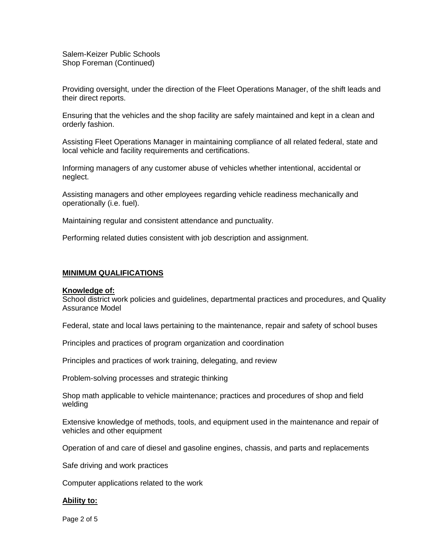Salem-Keizer Public Schools Shop Foreman (Continued)

Providing oversight, under the direction of the Fleet Operations Manager, of the shift leads and their direct reports.

Ensuring that the vehicles and the shop facility are safely maintained and kept in a clean and orderly fashion.

Assisting Fleet Operations Manager in maintaining compliance of all related federal, state and local vehicle and facility requirements and certifications.

Informing managers of any customer abuse of vehicles whether intentional, accidental or neglect.

Assisting managers and other employees regarding vehicle readiness mechanically and operationally (i.e. fuel).

Maintaining regular and consistent attendance and punctuality.

Performing related duties consistent with job description and assignment.

#### **MINIMUM QUALIFICATIONS**

#### **Knowledge of:**

School district work policies and guidelines, departmental practices and procedures, and Quality Assurance Model

Federal, state and local laws pertaining to the maintenance, repair and safety of school buses

Principles and practices of program organization and coordination

Principles and practices of work training, delegating, and review

Problem-solving processes and strategic thinking

Shop math applicable to vehicle maintenance; practices and procedures of shop and field welding

Extensive knowledge of methods, tools, and equipment used in the maintenance and repair of vehicles and other equipment

Operation of and care of diesel and gasoline engines, chassis, and parts and replacements

Safe driving and work practices

Computer applications related to the work

#### **Ability to:**

Page 2 of 5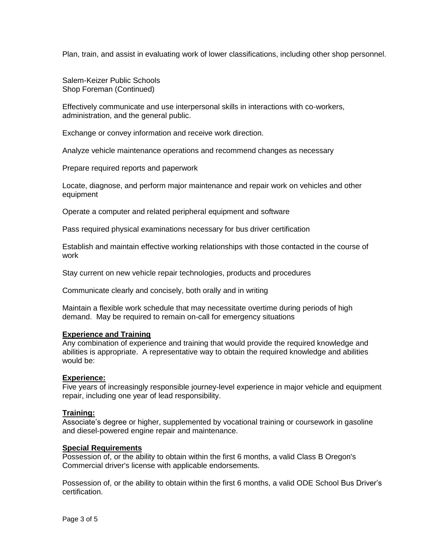Plan, train, and assist in evaluating work of lower classifications, including other shop personnel.

Salem-Keizer Public Schools Shop Foreman (Continued)

Effectively communicate and use interpersonal skills in interactions with co-workers, administration, and the general public.

Exchange or convey information and receive work direction.

Analyze vehicle maintenance operations and recommend changes as necessary

Prepare required reports and paperwork

Locate, diagnose, and perform major maintenance and repair work on vehicles and other equipment

Operate a computer and related peripheral equipment and software

Pass required physical examinations necessary for bus driver certification

Establish and maintain effective working relationships with those contacted in the course of work

Stay current on new vehicle repair technologies, products and procedures

Communicate clearly and concisely, both orally and in writing

Maintain a flexible work schedule that may necessitate overtime during periods of high demand. May be required to remain on-call for emergency situations

### **Experience and Training**

Any combination of experience and training that would provide the required knowledge and abilities is appropriate. A representative way to obtain the required knowledge and abilities would be:

### **Experience:**

Five years of increasingly responsible journey-level experience in major vehicle and equipment repair, including one year of lead responsibility.

#### **Training:**

Associate's degree or higher, supplemented by vocational training or coursework in gasoline and diesel-powered engine repair and maintenance.

# **Special Requirements**

Possession of, or the ability to obtain within the first 6 months, a valid Class B Oregon's Commercial driver's license with applicable endorsements.

Possession of, or the ability to obtain within the first 6 months, a valid ODE School Bus Driver's certification.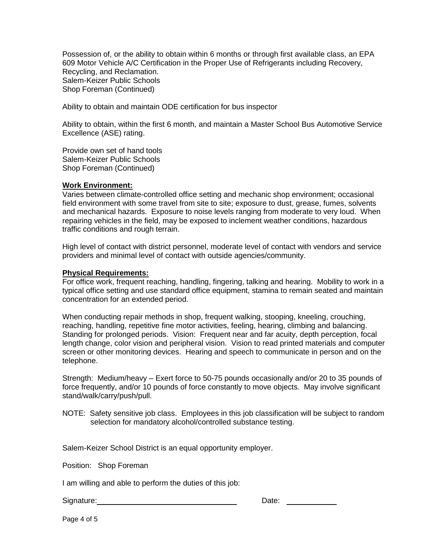Possession of, or the ability to obtain within 6 months or through first available class, an EPA 609 Motor Vehicle A/C Certification in the Proper Use of Refrigerants including Recovery, Recycling, and Reclamation. Salem-Keizer Public Schools Shop Foreman (Continued)

Ability to obtain and maintain ODE certification for bus inspector

Ability to obtain, within the first 6 month, and maintain a Master School Bus Automotive Service Excellence (ASE) rating.

Provide own set of hand tools Salem-Keizer Public Schools Shop Foreman (Continued)

## **Work Environment:**

Varies between climate-controlled office setting and mechanic shop environment; occasional field environment with some travel from site to site; exposure to dust, grease, fumes, solvents and mechanical hazards. Exposure to noise levels ranging from moderate to very loud. When repairing vehicles in the field, may be exposed to inclement weather conditions, hazardous traffic conditions and rough terrain.

High level of contact with district personnel, moderate level of contact with vendors and service providers and minimal level of contact with outside agencies/community.

### **Physical Requirements:**

For office work, frequent reaching, handling, fingering, talking and hearing. Mobility to work in a typical office setting and use standard office equipment, stamina to remain seated and maintain concentration for an extended period.

When conducting repair methods in shop, frequent walking, stooping, kneeling, crouching, reaching, handling, repetitive fine motor activities, feeling, hearing, climbing and balancing. Standing for prolonged periods. Vision: Frequent near and far acuity, depth perception, focal length change, color vision and peripheral vision. Vision to read printed materials and computer screen or other monitoring devices. Hearing and speech to communicate in person and on the telephone.

Strength: Medium/heavy – Exert force to 50-75 pounds occasionally and/or 20 to 35 pounds of force frequently, and/or 10 pounds of force constantly to move objects. May involve significant stand/walk/carry/push/pull.

NOTE: Safety sensitive job class. Employees in this job classification will be subject to random selection for mandatory alcohol/controlled substance testing.

Salem-Keizer School District is an equal opportunity employer.

Position: Shop Foreman

I am willing and able to perform the duties of this job:

Signature: Date: Date: Date: Date: Date: Date: Date: Date: Date: Date: Date: Date: Date: Date: Date: Date: Date: Date: Date: Date: Date: Date: Date: Date: Date: Date: Date: Date: Date: Date: Date: Date: Date: Date: Date: D

Page 4 of 5